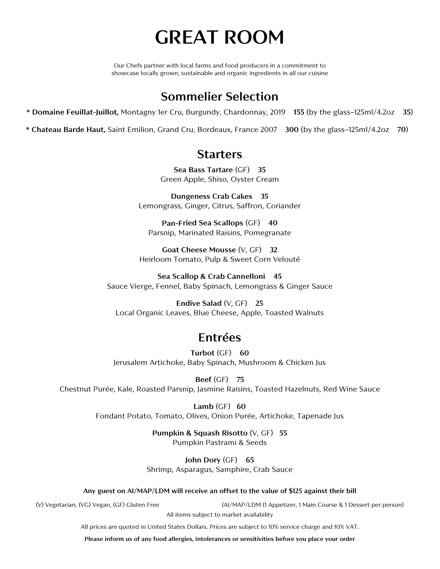# **GREAT ROOM**

Our Chefs partner with local farms and food producers in a commitment to showcase locally grown, sustainable and organic ingredients in all our cuisine

### **Sommelier Selection**

**\* Domaine Feuillat-Juillot,** Montagny 1er Cru, Burgundy, Chardonnay, 2019 **155** (by the glass–125ml/4.2oz **35**)

**\* Chateau Barde Haut,** Saint Emilion, Grand Cru, Bordeaux, France 2007 **300** (by the glass–125ml/4.2oz **70**)

### **Starters**

**Sea Bass Tartare** (GF) **35** Green Apple, Shiso, Oyster Cream

**Dungeness Crab Cakes 35** Lemongrass, Ginger, Citrus, Saffron, Coriander

**Pan-Fried Sea Scallops** (GF) **40** Parsnip, Marinated Raisins, Pomegranate

**Goat Cheese Mousse** (V, GF) **32** Heirloom Tomato, Pulp & Sweet Corn Velouté

**Sea Scallop & Crab Cannelloni 45** Sauce Vierge, Fennel, Baby Spinach, Lemongrass & Ginger Sauce

**Endive Salad** (V, GF) **25**  Local Organic Leaves, Blue Cheese, Apple, Toasted Walnuts

# **Entrées**

**Turbot** (GF) **60** Jerusalem Artichoke, Baby Spinach, Mushroom & Chicken Jus

**Beef** (GF) **75** Chestnut Purée, Kale, Roasted Parsnip, Jasmine Raisins, Toasted Hazelnuts, Red Wine Sauce

> **Lamb** (GF) **60** Fondant Potato, Tomato, Olives, Onion Purée, Artichoke, Tapenade Jus

> > **Pumpkin & Squash Risotto** (V, GF) **55** Pumpkin Pastrami & Seeds

**John Dory** (GF) **65** Shrimp, Asparagus, Samphire, Crab Sauce

**Any guest on AI/MAP/LDM will receive an offset to the value of \$125 against their bill**

(V) Vegetarian, (VG) Vegan, (GF) Gluten Free (AI/MAP/LDM (1 Appetizer, 1 Main Course & 1 Dessert per person)

All items subject to market availability

All prices are quoted in United States Dollars. Prices are subject to 10% service charge and 10% VAT.

**Please inform us of any food allergies, intolerances or sensitivities before you place your order**